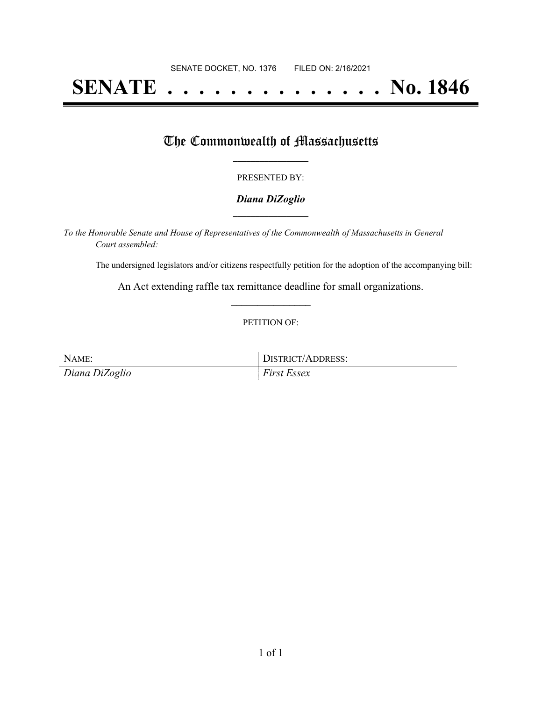# **SENATE . . . . . . . . . . . . . . No. 1846**

### The Commonwealth of Massachusetts

#### PRESENTED BY:

#### *Diana DiZoglio* **\_\_\_\_\_\_\_\_\_\_\_\_\_\_\_\_\_**

*To the Honorable Senate and House of Representatives of the Commonwealth of Massachusetts in General Court assembled:*

The undersigned legislators and/or citizens respectfully petition for the adoption of the accompanying bill:

An Act extending raffle tax remittance deadline for small organizations. **\_\_\_\_\_\_\_\_\_\_\_\_\_\_\_**

#### PETITION OF:

NAME: DISTRICT/ADDRESS: *Diana DiZoglio First Essex*